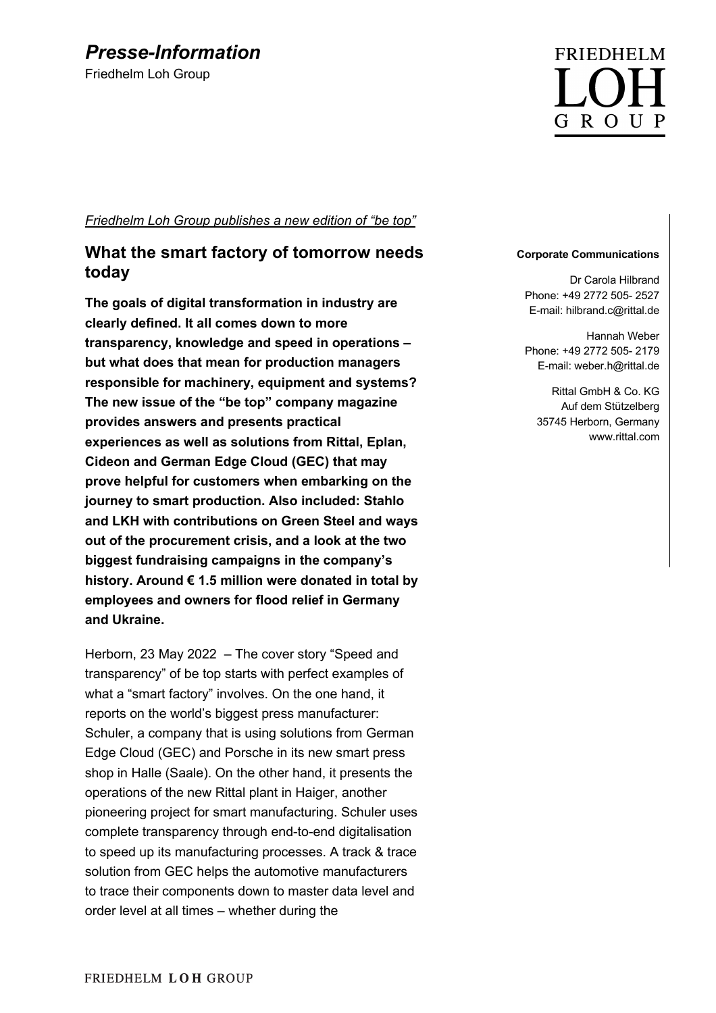Friedhelm Loh Group



*Friedhelm Loh Group publishes a new edition of "be top"*

### **What the smart factory of tomorrow needs today**

**The goals of digital transformation in industry are clearly defined. It all comes down to more transparency, knowledge and speed in operations – but what does that mean for production managers responsible for machinery, equipment and systems? The new issue of the "be top" company magazine provides answers and presents practical experiences as well as solutions from Rittal, Eplan, Cideon and German Edge Cloud (GEC) that may prove helpful for customers when embarking on the journey to smart production. Also included: Stahlo and LKH with contributions on Green Steel and ways out of the procurement crisis, and a look at the two biggest fundraising campaigns in the company's history. Around € 1.5 million were donated in total by employees and owners for flood relief in Germany and Ukraine.**

Herborn, 23 May 2022 – The cover story "Speed and transparency" of be top starts with perfect examples of what a "smart factory" involves. On the one hand, it reports on the world's biggest press manufacturer: Schuler, a company that is using solutions from German Edge Cloud (GEC) and Porsche in its new smart press shop in Halle (Saale). On the other hand, it presents the operations of the new Rittal plant in Haiger, another pioneering project for smart manufacturing. Schuler uses complete transparency through end-to-end digitalisation to speed up its manufacturing processes. A track & trace solution from GEC helps the automotive manufacturers to trace their components down to master data level and order level at all times – whether during the

#### **Corporate Communications**

Dr Carola Hilbrand Phone: +49 2772 505- 2527 E-mail: hilbrand.c@rittal.de

Hannah Weber Phone: +49 2772 505- 2179 E-mail: weber.h@rittal.de

Rittal GmbH & Co. KG Auf dem Stützelberg 35745 Herborn, Germany www.rittal.com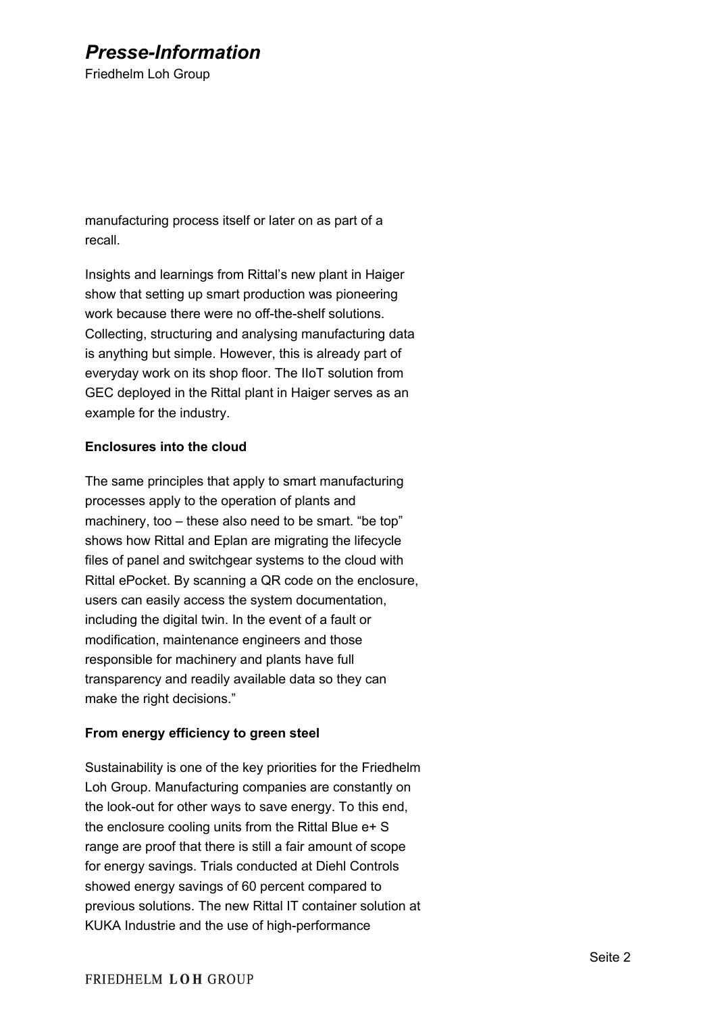Friedhelm Loh Group

manufacturing process itself or later on as part of a recall.

Insights and learnings from Rittal's new plant in Haiger show that setting up smart production was pioneering work because there were no off-the-shelf solutions. Collecting, structuring and analysing manufacturing data is anything but simple. However, this is already part of everyday work on its shop floor. The IIoT solution from GEC deployed in the Rittal plant in Haiger serves as an example for the industry.

### **Enclosures into the cloud**

The same principles that apply to smart manufacturing processes apply to the operation of plants and machinery, too – these also need to be smart. "be top" shows how Rittal and Eplan are migrating the lifecycle files of panel and switchgear systems to the cloud with Rittal ePocket. By scanning a QR code on the enclosure, users can easily access the system documentation, including the digital twin. In the event of a fault or modification, maintenance engineers and those responsible for machinery and plants have full transparency and readily available data so they can make the right decisions."

### **From energy efficiency to green steel**

Sustainability is one of the key priorities for the Friedhelm Loh Group. Manufacturing companies are constantly on the look-out for other ways to save energy. To this end, the enclosure cooling units from the Rittal Blue e+ S range are proof that there is still a fair amount of scope for energy savings. Trials conducted at Diehl Controls showed energy savings of 60 percent compared to previous solutions. The new Rittal IT container solution at KUKA Industrie and the use of high-performance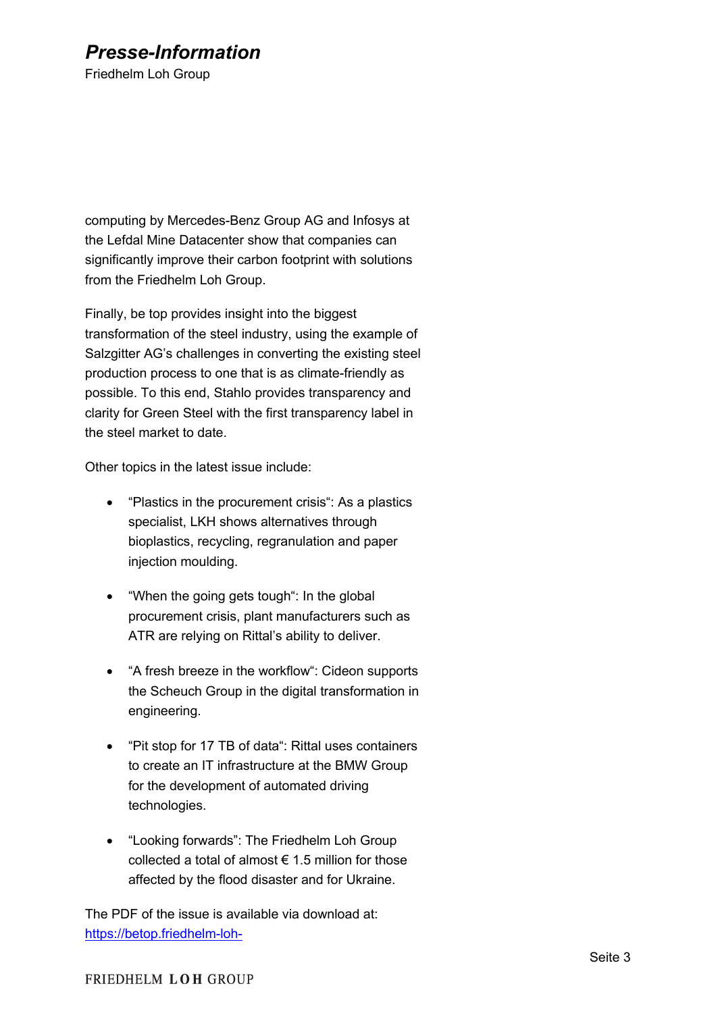Friedhelm Loh Group

computing by Mercedes-Benz Group AG and Infosys at the Lefdal Mine Datacenter show that companies can significantly improve their carbon footprint with solutions from the Friedhelm Loh Group.

Finally, be top provides insight into the biggest transformation of the steel industry, using the example of Salzgitter AG's challenges in converting the existing steel production process to one that is as climate-friendly as possible. To this end, Stahlo provides transparency and clarity for Green Steel with the first transparency label in the steel market to date.

Other topics in the latest issue include:

- "Plastics in the procurement crisis": As a plastics specialist, LKH shows alternatives through bioplastics, recycling, regranulation and paper injection moulding.
- "When the going gets tough": In the global procurement crisis, plant manufacturers such as ATR are relying on Rittal's ability to deliver.
- "A fresh breeze in the workflow": Cideon supports the Scheuch Group in the digital transformation in engineering.
- "Pit stop for 17 TB of data": Rittal uses containers to create an IT infrastructure at the BMW Group for the development of automated driving technologies.
- "Looking forwards": The Friedhelm Loh Group collected a total of almost  $\epsilon$  1.5 million for those affected by the flood disaster and for Ukraine.

The PDF of the issue is available via download at: https://betop.friedhelm-loh-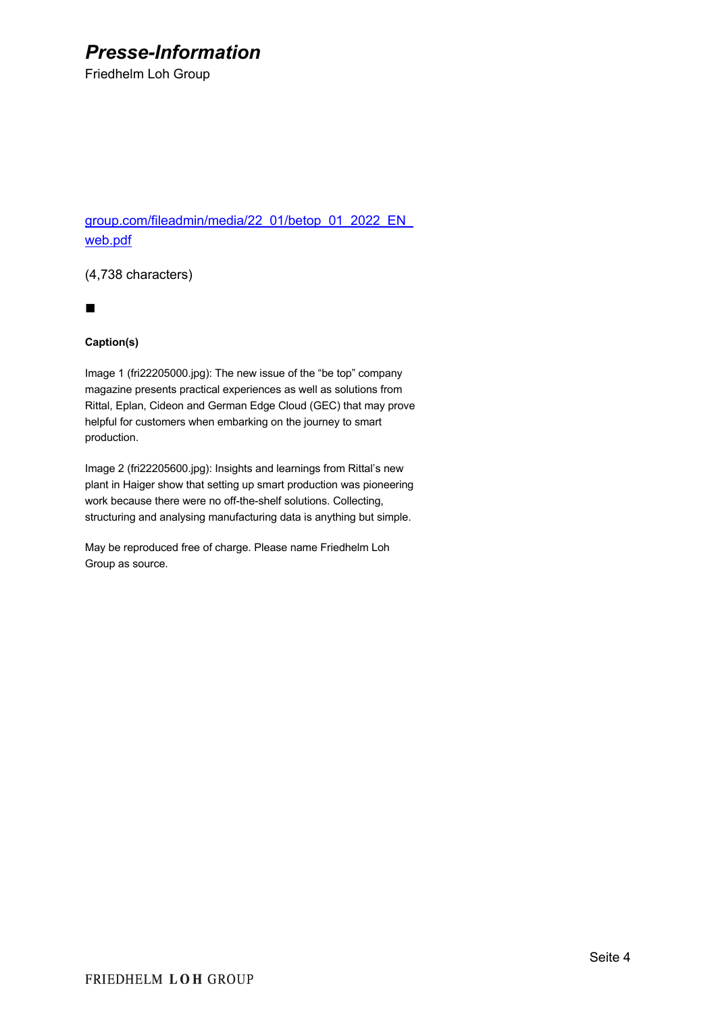Friedhelm Loh Group

group.com/fileadmin/media/22\_01/betop\_01\_2022\_EN web.pdf

(4,738 characters)

n

#### **Caption(s)**

Image 1 (fri22205000.jpg): The new issue of the "be top" company magazine presents practical experiences as well as solutions from Rittal, Eplan, Cideon and German Edge Cloud (GEC) that may prove helpful for customers when embarking on the journey to smart production.

Image 2 (fri22205600.jpg): Insights and learnings from Rittal's new plant in Haiger show that setting up smart production was pioneering work because there were no off-the-shelf solutions. Collecting, structuring and analysing manufacturing data is anything but simple.

May be reproduced free of charge. Please name Friedhelm Loh Group as source.